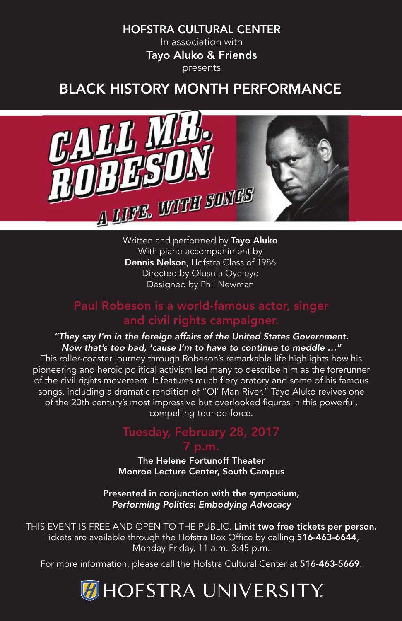#### HOFSTRA CULTURAL CENTER

In association with Tayo Aluko & Friends presents

#### BLACK HISTORY MONTH PERFORMANCE



Written and performed by Tayo Aluko With piano accompaniment by Dennis Nelson, Hofstra Class of 1986 Directed by Olusola Oyeleye Designed by Phil Newman

#### Paul Robeson is a world-famous actor, singer and civil rights campaigner.

#### *"They say I'm in the foreign affairs of the United States Government. Now that's too bad, 'cause I'm to have to continue to meddle …"*

This roller-coaster journey through Robeson's remarkable life highlights how his pioneering and heroic political activism led many to describe him as the forerunner of the civil rights movement. It features much fiery oratory and some of his famous songs, including a dramatic rendition of "OI' Man River." Tayo Aluko revives one of the 20th century's most impressive but overlooked figures in this powerful, compelling tour-de-force.

The Helene Fortunoff Theater Monroe Lecture Center, South Campus

Presented in conjunction with the symposium, *Performing Politics: Embodying Advocacy*

THIS EVENT IS FREE AND OPEN TO THE PUBLIC. Limit two free tickets per person. Tickets are available through the Hofstra Box Office by calling 516-463-6644, Monday-Friday, 11 a.m.-3:45 p.m.

For more information, please call the Hofstra Cultural Center at 516-463-5669.

#### **DHOFSTRA UNIVERSITY**